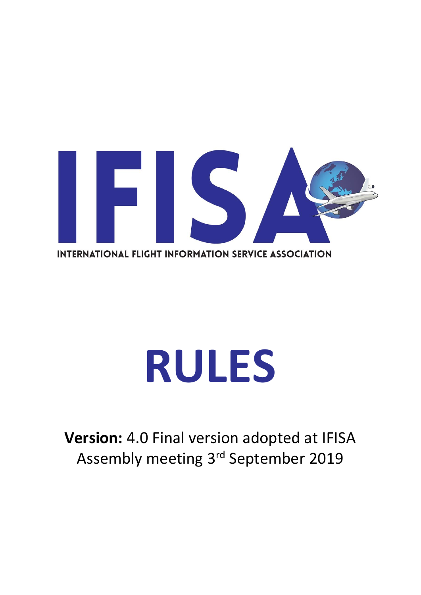

# **RULES**

**Version:** 4.0 Final version adopted at IFISA Assembly meeting 3<sup>rd</sup> September 2019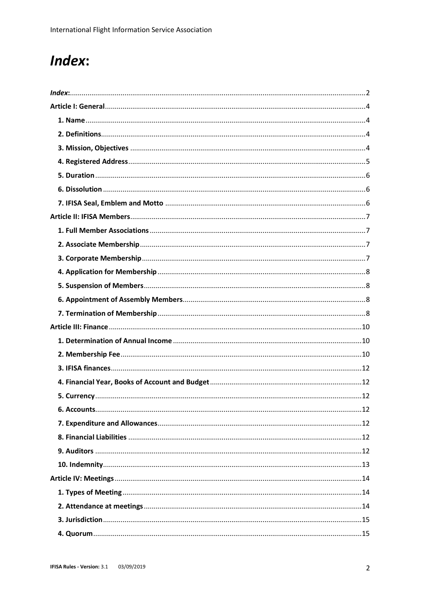# <span id="page-1-0"></span>Index: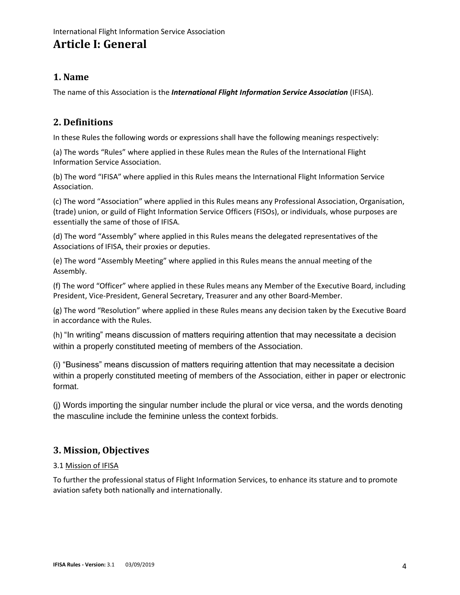# **Article I: General**

## <span id="page-3-0"></span>**1. Name**

The name of this Association is the *International Flight Information Service Association* (IFISA).

## <span id="page-3-1"></span>**2. Definitions**

In these Rules the following words or expressions shall have the following meanings respectively:

<span id="page-3-2"></span>(a) The words "Rules" where applied in these Rules mean the Rules of the International Flight Information Service Association.

(b) The word "IFISA" where applied in this Rules means the International Flight Information Service Association.

(c) The word "Association" where applied in this Rules means any Professional Association, Organisation, (trade) union, or guild of Flight Information Service Officers (FISOs), or individuals, whose purposes are essentially the same of those of IFISA.

(d) The word "Assembly" where applied in this Rules means the delegated representatives of the Associations of IFISA, their proxies or deputies.

(e) The word "Assembly Meeting" where applied in this Rules means the annual meeting of the Assembly.

(f) The word "Officer" where applied in these Rules means any Member of the Executive Board, including President, Vice-President, General Secretary, Treasurer and any other Board-Member.

(g) The word "Resolution" where applied in these Rules means any decision taken by the Executive Board in accordance with the Rules.

(h) "In writing" means discussion of matters requiring attention that may necessitate a decision within a properly constituted meeting of members of the Association.

(i) "Business" means discussion of matters requiring attention that may necessitate a decision within a properly constituted meeting of members of the Association, either in paper or electronic format.

(j) Words importing the singular number include the plural or vice versa, and the words denoting the masculine include the feminine unless the context forbids.

## **3. Mission, Objectives**

## 3.1 Mission of IFISA

<span id="page-3-3"></span>To further the professional status of Flight Information Services, to enhance its stature and to promote aviation safety both nationally and internationally.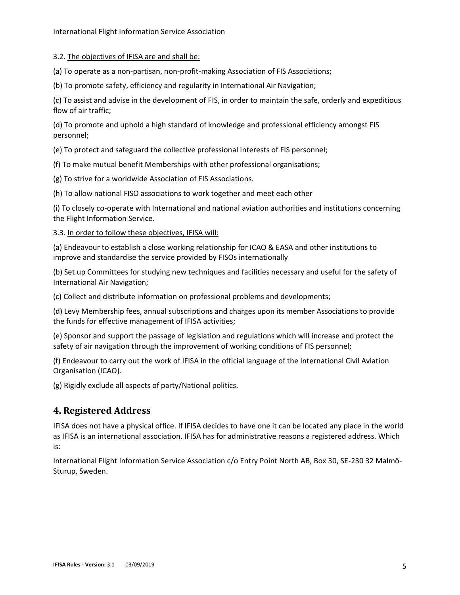#### 3.2. The objectives of IFISA are and shall be:

(a) To operate as a non-partisan, non-profit-making Association of FIS Associations;

(b) To promote safety, efficiency and regularity in International Air Navigation;

(c) To assist and advise in the development of FIS, in order to maintain the safe, orderly and expeditious flow of air traffic;

(d) To promote and uphold a high standard of knowledge and professional efficiency amongst FIS personnel;

(e) To protect and safeguard the collective professional interests of FIS personnel;

(f) To make mutual benefit Memberships with other professional organisations;

(g) To strive for a worldwide Association of FIS Associations.

(h) To allow national FISO associations to work together and meet each other

(i) To closely co-operate with International and national aviation authorities and institutions concerning the Flight Information Service.

3.3. In order to follow these objectives, IFISA will:

(a) Endeavour to establish a close working relationship for ICAO & EASA and other institutions to improve and standardise the service provided by FISOs internationally

(b) Set up Committees for studying new techniques and facilities necessary and useful for the safety of International Air Navigation;

(c) Collect and distribute information on professional problems and developments;

(d) Levy Membership fees, annual subscriptions and charges upon its member Associations to provide the funds for effective management of IFISA activities;

(e) Sponsor and support the passage of legislation and regulations which will increase and protect the safety of air navigation through the improvement of working conditions of FIS personnel;

(f) Endeavour to carry out the work of IFISA in the official language of the International Civil Aviation Organisation (ICAO).

(g) Rigidly exclude all aspects of party/National politics.

#### **4. Registered Address**

IFISA does not have a physical office. If IFISA decides to have one it can be located any place in the world as IFISA is an international association. IFISA has for administrative reasons a registered address. Which is:

<span id="page-4-0"></span>International Flight Information Service Association c/o Entry Point North AB, Box 30, SE-230 32 Malmö-Sturup, Sweden.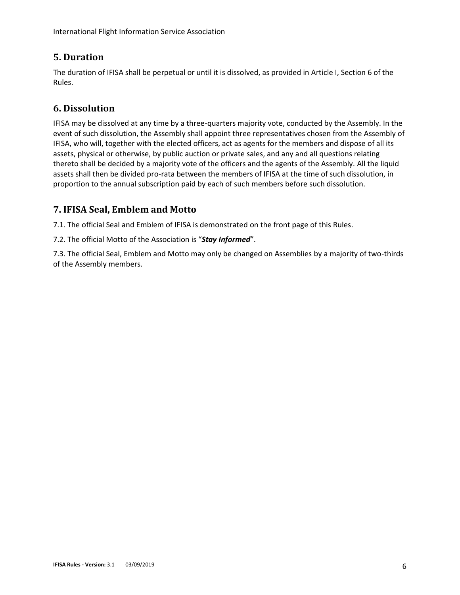## **5. Duration**

The duration of IFISA shall be perpetual or until it is dissolved, as provided in Article I, Section 6 of the Rules.

## <span id="page-5-0"></span>**6. Dissolution**

<span id="page-5-1"></span>IFISA may be dissolved at any time by a three-quarters majority vote, conducted by the Assembly. In the event of such dissolution, the Assembly shall appoint three representatives chosen from the Assembly of IFISA, who will, together with the elected officers, act as agents for the members and dispose of all its assets, physical or otherwise, by public auction or private sales, and any and all questions relating thereto shall be decided by a majority vote of the officers and the agents of the Assembly. All the liquid assets shall then be divided pro-rata between the members of IFISA at the time of such dissolution, in proportion to the annual subscription paid by each of such members before such dissolution.

## **7. IFISA Seal, Emblem and Motto**

7.1. The official Seal and Emblem of IFISA is demonstrated on the front page of this Rules.

<span id="page-5-2"></span>7.2. The official Motto of the Association is "*Stay Informed*".

7.3. The official Seal, Emblem and Motto may only be changed on Assemblies by a majority of two-thirds of the Assembly members.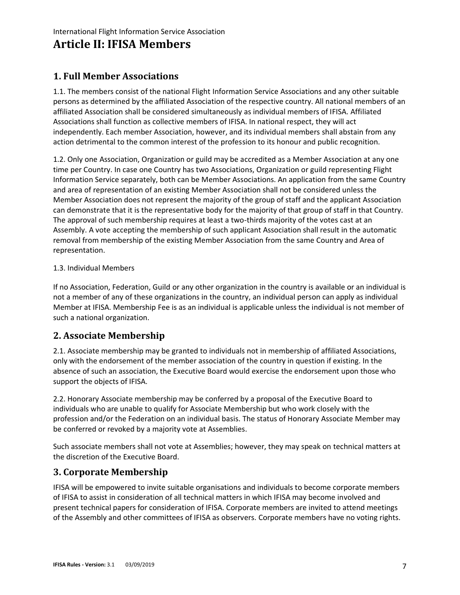# **Article II: IFISA Members**

## <span id="page-6-0"></span>**1. Full Member Associations**

<span id="page-6-1"></span>1.1. The members consist of the national Flight Information Service Associations and any other suitable persons as determined by the affiliated Association of the respective country. All national members of an affiliated Association shall be considered simultaneously as individual members of IFISA. Affiliated Associations shall function as collective members of IFISA. In national respect, they will act independently. Each member Association, however, and its individual members shall abstain from any action detrimental to the common interest of the profession to its honour and public recognition.

1.2. Only one Association, Organization or guild may be accredited as a Member Association at any one time per Country. In case one Country has two Associations, Organization or guild representing Flight Information Service separately, both can be Member Associations. An application from the same Country and area of representation of an existing Member Association shall not be considered unless the Member Association does not represent the majority of the group of staff and the applicant Association can demonstrate that it is the representative body for the majority of that group of staff in that Country. The approval of such membership requires at least a two-thirds majority of the votes cast at an Assembly. A vote accepting the membership of such applicant Association shall result in the automatic removal from membership of the existing Member Association from the same Country and Area of representation.

#### 1.3. Individual Members

If no Association, Federation, Guild or any other organization in the country is available or an individual is not a member of any of these organizations in the country, an individual person can apply as individual Member at IFISA. Membership Fee is as an individual is applicable unless the individual is not member of such a national organization.

## **2. Associate Membership**

<span id="page-6-2"></span>2.1. Associate membership may be granted to individuals not in membership of affiliated Associations, only with the endorsement of the member association of the country in question if existing. In the absence of such an association, the Executive Board would exercise the endorsement upon those who support the objects of IFISA.

2.2. Honorary Associate membership may be conferred by a proposal of the Executive Board to individuals who are unable to qualify for Associate Membership but who work closely with the profession and/or the Federation on an individual basis. The status of Honorary Associate Member may be conferred or revoked by a majority vote at Assemblies.

Such associate members shall not vote at Assemblies; however, they may speak on technical matters at the discretion of the Executive Board.

## **3. Corporate Membership**

<span id="page-6-3"></span>IFISA will be empowered to invite suitable organisations and individuals to become corporate members of IFISA to assist in consideration of all technical matters in which IFISA may become involved and present technical papers for consideration of IFISA. Corporate members are invited to attend meetings of the Assembly and other committees of IFISA as observers. Corporate members have no voting rights.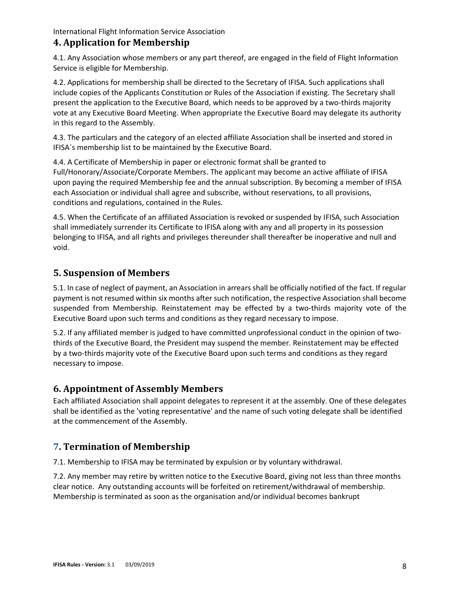## **4. Application for Membership**

4.1. Any Association whose members or any part thereof, are engaged in the field of Flight Information Service is eligible for Membership.

<span id="page-7-0"></span>4.2. Applications for membership shall be directed to the Secretary of IFISA. Such applications shall include copies of the Applicants Constitution or Rules of the Association if existing. The Secretary shall present the application to the Executive Board, which needs to be approved by a two-thirds majority vote at any Executive Board Meeting. When appropriate the Executive Board may delegate its authority in this regard to the Assembly.

4.3. The particulars and the category of an elected affiliate Association shall be inserted and stored in IFISA´s membership list to be maintained by the Executive Board.

4.4. A Certificate of Membership in paper or electronic format shall be granted to Full/Honorary/Associate/Corporate Members. The applicant may become an active affiliate of IFISA upon paying the required Membership fee and the annual subscription. By becoming a member of IFISA each Association or individual shall agree and subscribe, without reservations, to all provisions, conditions and regulations, contained in the Rules.

4.5. When the Certificate of an affiliated Association is revoked or suspended by IFISA, such Association shall immediately surrender its Certificate to IFISA along with any and all property in its possession belonging to IFISA, and all rights and privileges thereunder shall thereafter be inoperative and null and void.

## **5. Suspension of Members**

<span id="page-7-1"></span>5.1. In case of neglect of payment, an Association in arrears shall be officially notified of the fact. If regular payment is not resumed within six months after such notification, the respective Association shall become suspended from Membership. Reinstatement may be effected by a two-thirds majority vote of the Executive Board upon such terms and conditions as they regard necessary to impose.

5.2. If any affiliated member is judged to have committed unprofessional conduct in the opinion of twothirds of the Executive Board, the President may suspend the member. Reinstatement may be effected by a two-thirds majority vote of the Executive Board upon such terms and conditions as they regard necessary to impose.

## **6. Appointment of Assembly Members**

Each affiliated Association shall appoint delegates to represent it at the assembly. One of these delegates shall be identified as the 'voting representative' and the name of such voting delegate shall be identified at the commencement of the Assembly.

## <span id="page-7-2"></span>**7. Termination of Membership**

7.1. Membership to IFISA may be terminated by expulsion or by voluntary withdrawal.

<span id="page-7-3"></span>7.2. Any member may retire by written notice to the Executive Board, giving not less than three months clear notice. Any outstanding accounts will be forfeited on retirement/withdrawal of membership. Membership is terminated as soon as the organisation and/or individual becomes bankrupt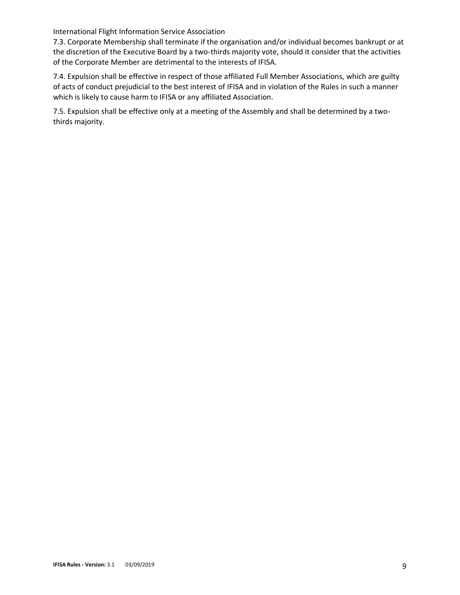7.3. Corporate Membership shall terminate if the organisation and/or individual becomes bankrupt or at the discretion of the Executive Board by a two-thirds majority vote, should it consider that the activities of the Corporate Member are detrimental to the interests of IFISA.

7.4. Expulsion shall be effective in respect of those affiliated Full Member Associations, which are guilty of acts of conduct prejudicial to the best interest of IFISA and in violation of the Rules in such a manner which is likely to cause harm to IFISA or any affiliated Association.

7.5. Expulsion shall be effective only at a meeting of the Assembly and shall be determined by a twothirds majority.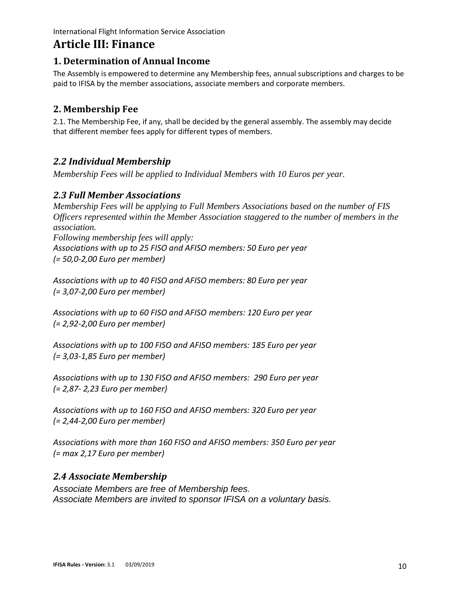# **Article III: Finance**

## **1. Determination of Annual Income**

<span id="page-9-0"></span>The Assembly is empowered to determine any Membership fees, annual subscriptions and charges to be paid to IFISA by the member associations, associate members and corporate members.

## <span id="page-9-1"></span>**2. Membership Fee**

2.1. The Membership Fee, if any, shall be decided by the general assembly. The assembly may decide that different member fees apply for different types of members.

## <span id="page-9-2"></span>*2.2 Individual Membership*

*Membership Fees will be applied to Individual Members with 10 Euros per year.*

## *2.3 Full Member Associations*

*Membership Fees will be applying to Full Members Associations based on the number of FIS Officers represented within the Member Association staggered to the number of members in the association. Following membership fees will apply: Associations with up to 25 FISO and AFISO members: 50 Euro per year*

*(= 50,0-2,00 Euro per member)*

*Associations with up to 40 FISO and AFISO members: 80 Euro per year (= 3,07-2,00 Euro per member)*

*Associations with up to 60 FISO and AFISO members: 120 Euro per year (= 2,92-2,00 Euro per member)*

*Associations with up to 100 FISO and AFISO members: 185 Euro per year (= 3,03-1,85 Euro per member)*

*Associations with up to 130 FISO and AFISO members:  290 Euro per year (= 2,87- 2,23 Euro per member)*

*Associations with up to 160 FISO and AFISO members: 320 Euro per year (= 2,44-2,00 Euro per member)*

*Associations with more than 160 FISO and AFISO members: 350 Euro per year (= max 2,17 Euro per member)*

## *2.4 Associate Membership*

*Associate Members are free of Membership fees. Associate Members are invited to sponsor IFISA on a voluntary basis.*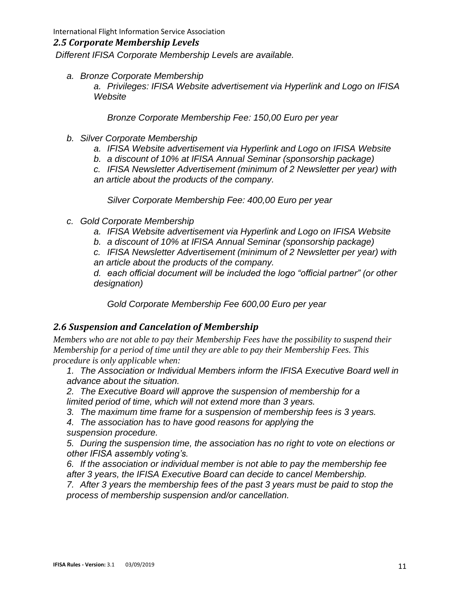#### *2.5 Corporate Membership Levels*

*Different IFISA Corporate Membership Levels are available.*

*a. Bronze Corporate Membership*

*a. Privileges: IFISA Website advertisement via Hyperlink and Logo on IFISA Website*

*Bronze Corporate Membership Fee: 150,00 Euro per year*

- *b. Silver Corporate Membership*
	- *a. IFISA Website advertisement via Hyperlink and Logo on IFISA Website*
	- *b. a discount of 10% at IFISA Annual Seminar (sponsorship package)*
	- *c. IFISA Newsletter Advertisement (minimum of 2 Newsletter per year) with an article about the products of the company.*

*Silver Corporate Membership Fee: 400,00 Euro per year*

- *c. Gold Corporate Membership*
	- *a. IFISA Website advertisement via Hyperlink and Logo on IFISA Website*
	- *b. a discount of 10% at IFISA Annual Seminar (sponsorship package)*

*c. IFISA Newsletter Advertisement (minimum of 2 Newsletter per year) with an article about the products of the company.*

*d. each official document will be included the logo "official partner" (or other designation)*

*Gold Corporate Membership Fee 600,00 Euro per year*

#### *2.6 Suspension and Cancelation of Membership*

*Members who are not able to pay their Membership Fees have the possibility to suspend their Membership for a period of time until they are able to pay their Membership Fees. This procedure is only applicable when:*

- *1. The Association or Individual Members inform the IFISA Executive Board well in advance about the situation.*
- *2. The Executive Board will approve the suspension of membership for a limited period of time, which will not extend more than 3 years.*
- *3. The maximum time frame for a suspension of membership fees is 3 years.*

*4. The association has to have good reasons for applying the suspension procedure.*

*5. During the suspension time, the association has no right to vote on elections or other IFISA assembly voting's.*

*6. If the association or individual member is not able to pay the membership fee after 3 years, the IFISA Executive Board can decide to cancel Membership.*

*7. After 3 years the membership fees of the past 3 years must be paid to stop the process of membership suspension and/or cancellation.*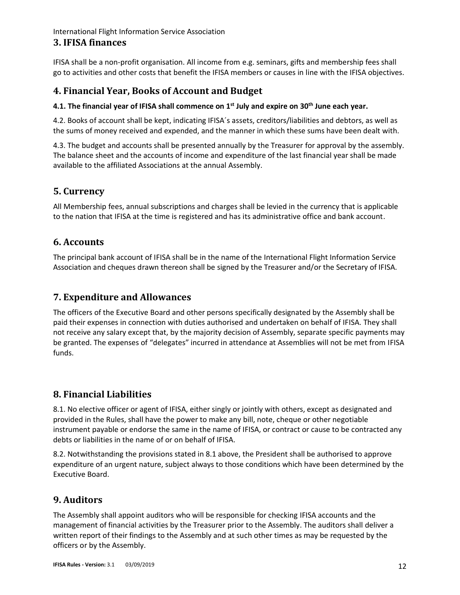#### **3. IFISA finances**

IFISA shall be a non-profit organisation. All income from e.g. seminars, gifts and membership fees shall go to activities and other costs that benefit the IFISA members or causes in line with the IFISA objectives.

## <span id="page-11-0"></span>**4. Financial Year, Books of Account and Budget**

#### **4.1. The financial year of IFISA shall commence on 1st July and expire on 30 th June each year.**

<span id="page-11-1"></span>4.2. Books of account shall be kept, indicating IFISA´s assets, creditors/liabilities and debtors, as well as the sums of money received and expended, and the manner in which these sums have been dealt with.

4.3. The budget and accounts shall be presented annually by the Treasurer for approval by the assembly. The balance sheet and the accounts of income and expenditure of the last financial year shall be made available to the affiliated Associations at the annual Assembly.

## **5. Currency**

All Membership fees, annual subscriptions and charges shall be levied in the currency that is applicable to the nation that IFISA at the time is registered and has its administrative office and bank account.

## <span id="page-11-2"></span>**6. Accounts**

The principal bank account of IFISA shall be in the name of the International Flight Information Service Association and cheques drawn thereon shall be signed by the Treasurer and/or the Secretary of IFISA.

## <span id="page-11-3"></span>**7. Expenditure and Allowances**

<span id="page-11-4"></span>The officers of the Executive Board and other persons specifically designated by the Assembly shall be paid their expenses in connection with duties authorised and undertaken on behalf of IFISA. They shall not receive any salary except that, by the majority decision of Assembly, separate specific payments may be granted. The expenses of "delegates" incurred in attendance at Assemblies will not be met from IFISA funds.

## **8. Financial Liabilities**

<span id="page-11-5"></span>8.1. No elective officer or agent of IFISA, either singly or jointly with others, except as designated and provided in the Rules, shall have the power to make any bill, note, cheque or other negotiable instrument payable or endorse the same in the name of IFISA, or contract or cause to be contracted any debts or liabilities in the name of or on behalf of IFISA.

8.2. Notwithstanding the provisions stated in 8.1 above, the President shall be authorised to approve expenditure of an urgent nature, subject always to those conditions which have been determined by the Executive Board.

## **9. Auditors**

<span id="page-11-6"></span>The Assembly shall appoint auditors who will be responsible for checking IFISA accounts and the management of financial activities by the Treasurer prior to the Assembly. The auditors shall deliver a written report of their findings to the Assembly and at such other times as may be requested by the officers or by the Assembly.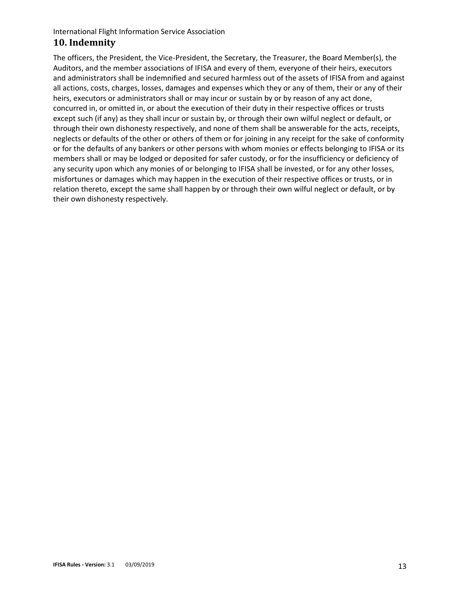## **10. Indemnity**

<span id="page-12-0"></span>The officers, the President, the Vice-President, the Secretary, the Treasurer, the Board Member(s), the Auditors, and the member associations of IFISA and every of them, everyone of their heirs, executors and administrators shall be indemnified and secured harmless out of the assets of IFISA from and against all actions, costs, charges, losses, damages and expenses which they or any of them, their or any of their heirs, executors or administrators shall or may incur or sustain by or by reason of any act done, concurred in, or omitted in, or about the execution of their duty in their respective offices or trusts except such (if any) as they shall incur or sustain by, or through their own wilful neglect or default, or through their own dishonesty respectively, and none of them shall be answerable for the acts, receipts, neglects or defaults of the other or others of them or for joining in any receipt for the sake of conformity or for the defaults of any bankers or other persons with whom monies or effects belonging to IFISA or its members shall or may be lodged or deposited for safer custody, or for the insufficiency or deficiency of any security upon which any monies of or belonging to IFISA shall be invested, or for any other losses, misfortunes or damages which may happen in the execution of their respective offices or trusts, or in relation thereto, except the same shall happen by or through their own wilful neglect or default, or by their own dishonesty respectively.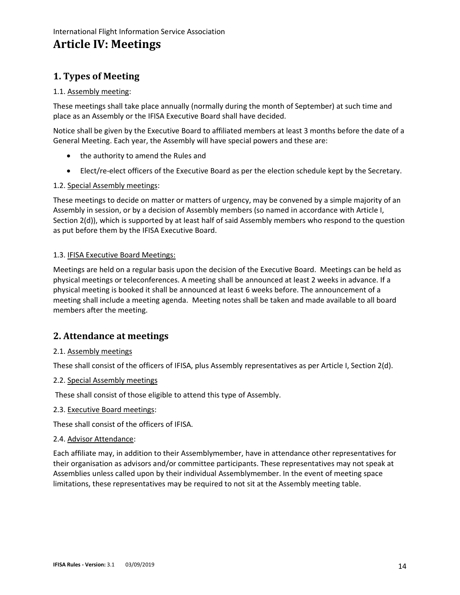# **Article IV: Meetings**

## <span id="page-13-0"></span>**1. Types of Meeting**

#### 1.1. Assembly meeting:

<span id="page-13-1"></span>These meetings shall take place annually (normally during the month of September) at such time and place as an Assembly or the IFISA Executive Board shall have decided.

Notice shall be given by the Executive Board to affiliated members at least 3 months before the date of a General Meeting. Each year, the Assembly will have special powers and these are:

- the authority to amend the Rules and
- Elect/re-elect officers of the Executive Board as per the election schedule kept by the Secretary.

#### 1.2. Special Assembly meetings:

These meetings to decide on matter or matters of urgency, may be convened by a simple majority of an Assembly in session, or by a decision of Assembly members (so named in accordance with Article I, Section 2(d)), which is supported by at least half of said Assembly members who respond to the question as put before them by the IFISA Executive Board.

#### 1.3. IFISA Executive Board Meetings:

Meetings are held on a regular basis upon the decision of the Executive Board. Meetings can be held as physical meetings or teleconferences. A meeting shall be announced at least 2 weeks in advance. If a physical meeting is booked it shall be announced at least 6 weeks before. The announcement of a meeting shall include a meeting agenda. Meeting notes shall be taken and made available to all board members after the meeting.

## **2. Attendance at meetings**

#### 2.1. Assembly meetings

<span id="page-13-2"></span>These shall consist of the officers of IFISA, plus Assembly representatives as per Article I, Section 2(d).

#### 2.2. Special Assembly meetings

These shall consist of those eligible to attend this type of Assembly.

#### 2.3. Executive Board meetings:

These shall consist of the officers of IFISA.

#### 2.4. Advisor Attendance:

Each affiliate may, in addition to their Assemblymember, have in attendance other representatives for their organisation as advisors and/or committee participants. These representatives may not speak at Assemblies unless called upon by their individual Assemblymember. In the event of meeting space limitations, these representatives may be required to not sit at the Assembly meeting table.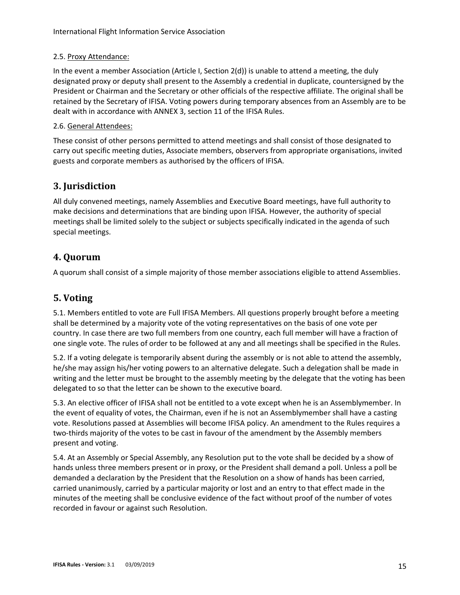#### 2.5. Proxy Attendance:

In the event a member Association (Article I, Section 2(d)) is unable to attend a meeting, the duly designated proxy or deputy shall present to the Assembly a credential in duplicate, countersigned by the President or Chairman and the Secretary or other officials of the respective affiliate. The original shall be retained by the Secretary of IFISA. Voting powers during temporary absences from an Assembly are to be dealt with in accordance with ANNEX 3, section 11 of the IFISA Rules.

#### 2.6. General Attendees:

These consist of other persons permitted to attend meetings and shall consist of those designated to carry out specific meeting duties, Associate members, observers from appropriate organisations, invited guests and corporate members as authorised by the officers of IFISA.

## **3. Jurisdiction**

<span id="page-14-0"></span>All duly convened meetings, namely Assemblies and Executive Board meetings, have full authority to make decisions and determinations that are binding upon IFISA. However, the authority of special meetings shall be limited solely to the subject or subjects specifically indicated in the agenda of such special meetings.

## **4. Quorum**

A quorum shall consist of a simple majority of those member associations eligible to attend Assemblies.

## <span id="page-14-1"></span>**5. Voting**

<span id="page-14-2"></span>5.1. Members entitled to vote are Full IFISA Members. All questions properly brought before a meeting shall be determined by a majority vote of the voting representatives on the basis of one vote per country. In case there are two full members from one country, each full member will have a fraction of one single vote. The rules of order to be followed at any and all meetings shall be specified in the Rules.

5.2. If a voting delegate is temporarily absent during the assembly or is not able to attend the assembly, he/she may assign his/her voting powers to an alternative delegate. Such a delegation shall be made in writing and the letter must be brought to the assembly meeting by the delegate that the voting has been delegated to so that the letter can be shown to the executive board.

5.3. An elective officer of IFISA shall not be entitled to a vote except when he is an Assemblymember. In the event of equality of votes, the Chairman, even if he is not an Assemblymember shall have a casting vote. Resolutions passed at Assemblies will become IFISA policy. An amendment to the Rules requires a two-thirds majority of the votes to be cast in favour of the amendment by the Assembly members present and voting.

5.4. At an Assembly or Special Assembly, any Resolution put to the vote shall be decided by a show of hands unless three members present or in proxy, or the President shall demand a poll. Unless a poll be demanded a declaration by the President that the Resolution on a show of hands has been carried, carried unanimously, carried by a particular majority or lost and an entry to that effect made in the minutes of the meeting shall be conclusive evidence of the fact without proof of the number of votes recorded in favour or against such Resolution.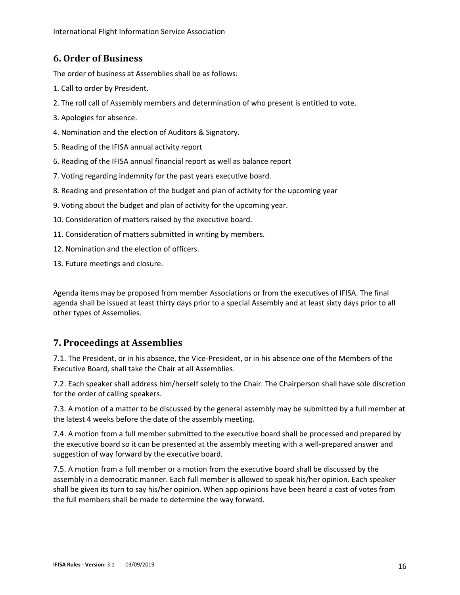## **6. Order of Business**

The order of business at Assemblies shall be as follows:

- <span id="page-15-0"></span>1. Call to order by President.
- 2. The roll call of Assembly members and determination of who present is entitled to vote.
- 3. Apologies for absence.
- 4. Nomination and the election of Auditors & Signatory.
- 5. Reading of the IFISA annual activity report
- 6. Reading of the IFISA annual financial report as well as balance report
- 7. Voting regarding indemnity for the past years executive board.
- 8. Reading and presentation of the budget and plan of activity for the upcoming year
- 9. Voting about the budget and plan of activity for the upcoming year.
- 10. Consideration of matters raised by the executive board.
- 11. Consideration of matters submitted in writing by members.
- 12. Nomination and the election of officers.
- 13. Future meetings and closure.

Agenda items may be proposed from member Associations or from the executives of IFISA. The final agenda shall be issued at least thirty days prior to a special Assembly and at least sixty days prior to all other types of Assemblies.

## **7. Proceedings at Assemblies**

7.1. The President, or in his absence, the Vice-President, or in his absence one of the Members of the Executive Board, shall take the Chair at all Assemblies.

<span id="page-15-1"></span>7.2. Each speaker shall address him/herself solely to the Chair. The Chairperson shall have sole discretion for the order of calling speakers.

7.3. A motion of a matter to be discussed by the general assembly may be submitted by a full member at the latest 4 weeks before the date of the assembly meeting.

7.4. A motion from a full member submitted to the executive board shall be processed and prepared by the executive board so it can be presented at the assembly meeting with a well-prepared answer and suggestion of way forward by the executive board.

7.5. A motion from a full member or a motion from the executive board shall be discussed by the assembly in a democratic manner. Each full member is allowed to speak his/her opinion. Each speaker shall be given its turn to say his/her opinion. When app opinions have been heard a cast of votes from the full members shall be made to determine the way forward.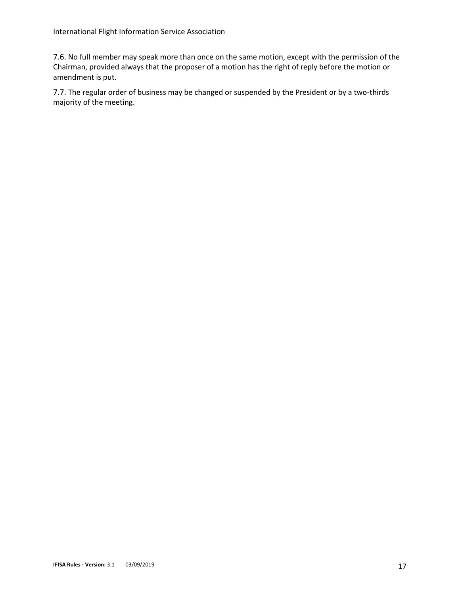7.6. No full member may speak more than once on the same motion, except with the permission of the Chairman, provided always that the proposer of a motion has the right of reply before the motion or amendment is put.

7.7. The regular order of business may be changed or suspended by the President or by a two-thirds majority of the meeting.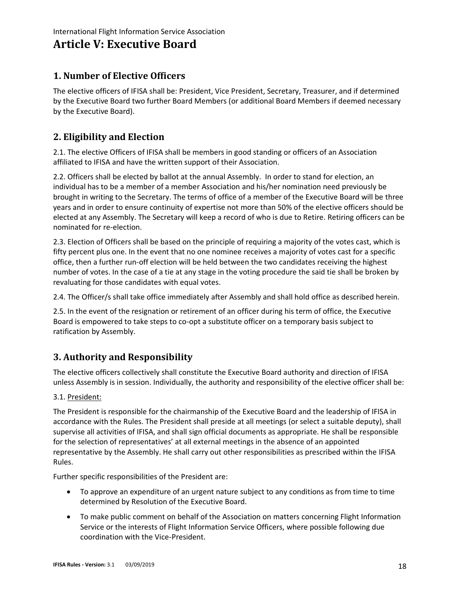## **Article V: Executive Board**

## <span id="page-17-0"></span>**1. Number of Elective Officers**

<span id="page-17-1"></span>The elective officers of IFISA shall be: President, Vice President, Secretary, Treasurer, and if determined by the Executive Board two further Board Members (or additional Board Members if deemed necessary by the Executive Board).

## **2. Eligibility and Election**

2.1. The elective Officers of IFISA shall be members in good standing or officers of an Association affiliated to IFISA and have the written support of their Association.

<span id="page-17-2"></span>2.2. Officers shall be elected by ballot at the annual Assembly. In order to stand for election, an individual has to be a member of a member Association and his/her nomination need previously be brought in writing to the Secretary. The terms of office of a member of the Executive Board will be three years and in order to ensure continuity of expertise not more than 50% of the elective officers should be elected at any Assembly. The Secretary will keep a record of who is due to Retire. Retiring officers can be nominated for re-election.

2.3. Election of Officers shall be based on the principle of requiring a majority of the votes cast, which is fifty percent plus one. In the event that no one nominee receives a majority of votes cast for a specific office, then a further run-off election will be held between the two candidates receiving the highest number of votes. In the case of a tie at any stage in the voting procedure the said tie shall be broken by revaluating for those candidates with equal votes.

2.4. The Officer/s shall take office immediately after Assembly and shall hold office as described herein.

2.5. In the event of the resignation or retirement of an officer during his term of office, the Executive Board is empowered to take steps to co-opt a substitute officer on a temporary basis subject to ratification by Assembly.

## **3. Authority and Responsibility**

The elective officers collectively shall constitute the Executive Board authority and direction of IFISA unless Assembly is in session. Individually, the authority and responsibility of the elective officer shall be:

#### <span id="page-17-3"></span>3.1. President:

The President is responsible for the chairmanship of the Executive Board and the leadership of IFISA in accordance with the Rules. The President shall preside at all meetings (or select a suitable deputy), shall supervise all activities of IFISA, and shall sign official documents as appropriate. He shall be responsible for the selection of representatives' at all external meetings in the absence of an appointed representative by the Assembly. He shall carry out other responsibilities as prescribed within the IFISA Rules.

Further specific responsibilities of the President are:

- To approve an expenditure of an urgent nature subject to any conditions as from time to time determined by Resolution of the Executive Board.
- To make public comment on behalf of the Association on matters concerning Flight Information Service or the interests of Flight Information Service Officers, where possible following due coordination with the Vice-President.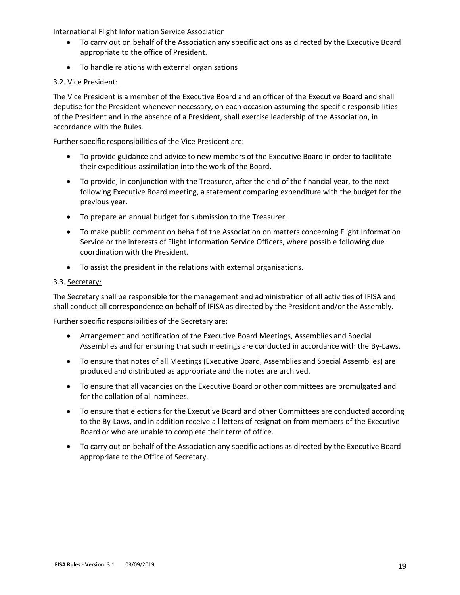- To carry out on behalf of the Association any specific actions as directed by the Executive Board appropriate to the office of President.
- To handle relations with external organisations

#### 3.2. Vice President:

The Vice President is a member of the Executive Board and an officer of the Executive Board and shall deputise for the President whenever necessary, on each occasion assuming the specific responsibilities of the President and in the absence of a President, shall exercise leadership of the Association, in accordance with the Rules.

Further specific responsibilities of the Vice President are:

- To provide guidance and advice to new members of the Executive Board in order to facilitate their expeditious assimilation into the work of the Board.
- To provide, in conjunction with the Treasurer, after the end of the financial year, to the next following Executive Board meeting, a statement comparing expenditure with the budget for the previous year.
- To prepare an annual budget for submission to the Treasurer.
- To make public comment on behalf of the Association on matters concerning Flight Information Service or the interests of Flight Information Service Officers, where possible following due coordination with the President.
- To assist the president in the relations with external organisations.

#### 3.3. Secretary:

The Secretary shall be responsible for the management and administration of all activities of IFISA and shall conduct all correspondence on behalf of IFISA as directed by the President and/or the Assembly.

Further specific responsibilities of the Secretary are:

- Arrangement and notification of the Executive Board Meetings, Assemblies and Special Assemblies and for ensuring that such meetings are conducted in accordance with the By-Laws.
- To ensure that notes of all Meetings (Executive Board, Assemblies and Special Assemblies) are produced and distributed as appropriate and the notes are archived.
- To ensure that all vacancies on the Executive Board or other committees are promulgated and for the collation of all nominees.
- To ensure that elections for the Executive Board and other Committees are conducted according to the By-Laws, and in addition receive all letters of resignation from members of the Executive Board or who are unable to complete their term of office.
- To carry out on behalf of the Association any specific actions as directed by the Executive Board appropriate to the Office of Secretary.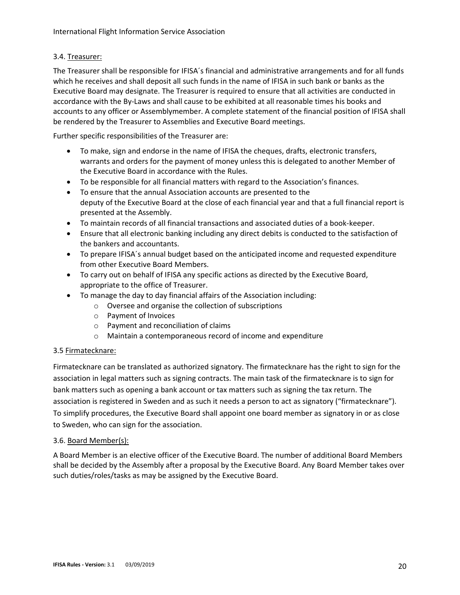#### 3.4. Treasurer:

The Treasurer shall be responsible for IFISA´s financial and administrative arrangements and for all funds which he receives and shall deposit all such funds in the name of IFISA in such bank or banks as the Executive Board may designate. The Treasurer is required to ensure that all activities are conducted in accordance with the By-Laws and shall cause to be exhibited at all reasonable times his books and accounts to any officer or Assemblymember. A complete statement of the financial position of IFISA shall be rendered by the Treasurer to Assemblies and Executive Board meetings.

Further specific responsibilities of the Treasurer are:

- To make, sign and endorse in the name of IFISA the cheques, drafts, electronic transfers, warrants and orders for the payment of money unless this is delegated to another Member of the Executive Board in accordance with the Rules.
- To be responsible for all financial matters with regard to the Association's finances.
- To ensure that the annual Association accounts are presented to the deputy of the Executive Board at the close of each financial year and that a full financial report is presented at the Assembly.
- To maintain records of all financial transactions and associated duties of a book-keeper.
- Ensure that all electronic banking including any direct debits is conducted to the satisfaction of the bankers and accountants.
- To prepare IFISA´s annual budget based on the anticipated income and requested expenditure from other Executive Board Members.
- To carry out on behalf of IFISA any specific actions as directed by the Executive Board, appropriate to the office of Treasurer.
- To manage the day to day financial affairs of the Association including:
	- o Oversee and organise the collection of subscriptions
	- o Payment of Invoices
	- o Payment and reconciliation of claims
	- o Maintain a contemporaneous record of income and expenditure

#### 3.5 Firmatecknare:

Firmatecknare can be translated as authorized signatory. The firmatecknare has the right to sign for the association in legal matters such as signing contracts. The main task of the firmatecknare is to sign for bank matters such as opening a bank account or tax matters such as signing the tax return. The association is registered in Sweden and as such it needs a person to act as signatory ("firmatecknare"). To simplify procedures, the Executive Board shall appoint one board member as signatory in or as close to Sweden, who can sign for the association.

#### 3.6. Board Member(s):

A Board Member is an elective officer of the Executive Board. The number of additional Board Members shall be decided by the Assembly after a proposal by the Executive Board. Any Board Member takes over such duties/roles/tasks as may be assigned by the Executive Board.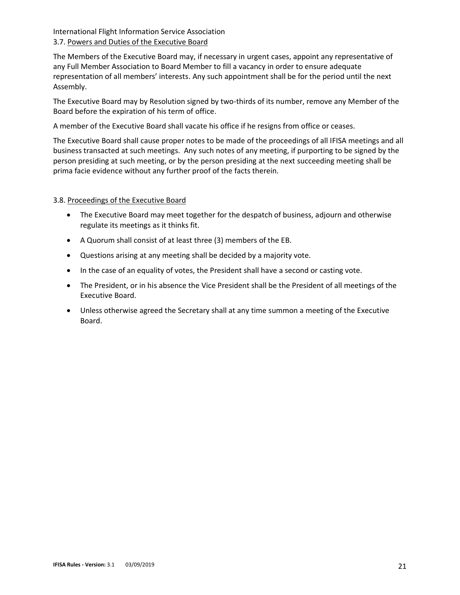#### International Flight Information Service Association 3.7. Powers and Duties of the Executive Board

The Members of the Executive Board may, if necessary in urgent cases, appoint any representative of any Full Member Association to Board Member to fill a vacancy in order to ensure adequate representation of all members' interests. Any such appointment shall be for the period until the next Assembly.

The Executive Board may by Resolution signed by two-thirds of its number, remove any Member of the Board before the expiration of his term of office.

A member of the Executive Board shall vacate his office if he resigns from office or ceases.

The Executive Board shall cause proper notes to be made of the proceedings of all IFISA meetings and all business transacted at such meetings. Any such notes of any meeting, if purporting to be signed by the person presiding at such meeting, or by the person presiding at the next succeeding meeting shall be prima facie evidence without any further proof of the facts therein.

#### 3.8. Proceedings of the Executive Board

- The Executive Board may meet together for the despatch of business, adjourn and otherwise regulate its meetings as it thinks fit.
- A Quorum shall consist of at least three (3) members of the EB.
- Questions arising at any meeting shall be decided by a majority vote.
- In the case of an equality of votes, the President shall have a second or casting vote.
- The President, or in his absence the Vice President shall be the President of all meetings of the Executive Board.
- Unless otherwise agreed the Secretary shall at any time summon a meeting of the Executive Board.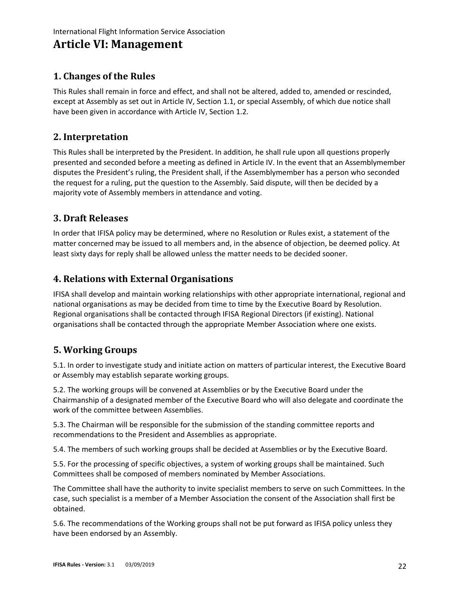# **Article VI: Management**

## <span id="page-21-0"></span>**1. Changes of the Rules**

<span id="page-21-1"></span>This Rules shall remain in force and effect, and shall not be altered, added to, amended or rescinded, except at Assembly as set out in Article IV, Section 1.1, or special Assembly, of which due notice shall have been given in accordance with Article IV, Section 1.2.

## **2. Interpretation**

<span id="page-21-2"></span>This Rules shall be interpreted by the President. In addition, he shall rule upon all questions properly presented and seconded before a meeting as defined in Article IV. In the event that an Assemblymember disputes the President's ruling, the President shall, if the Assemblymember has a person who seconded the request for a ruling, put the question to the Assembly. Said dispute, will then be decided by a majority vote of Assembly members in attendance and voting.

## **3. Draft Releases**

<span id="page-21-3"></span>In order that IFISA policy may be determined, where no Resolution or Rules exist, a statement of the matter concerned may be issued to all members and, in the absence of objection, be deemed policy. At least sixty days for reply shall be allowed unless the matter needs to be decided sooner.

## **4. Relations with External Organisations**

<span id="page-21-4"></span>IFISA shall develop and maintain working relationships with other appropriate international, regional and national organisations as may be decided from time to time by the Executive Board by Resolution. Regional organisations shall be contacted through IFISA Regional Directors (if existing). National organisations shall be contacted through the appropriate Member Association where one exists.

## **5. Working Groups**

5.1. In order to investigate study and initiate action on matters of particular interest, the Executive Board or Assembly may establish separate working groups.

<span id="page-21-5"></span>5.2. The working groups will be convened at Assemblies or by the Executive Board under the Chairmanship of a designated member of the Executive Board who will also delegate and coordinate the work of the committee between Assemblies.

5.3. The Chairman will be responsible for the submission of the standing committee reports and recommendations to the President and Assemblies as appropriate.

5.4. The members of such working groups shall be decided at Assemblies or by the Executive Board.

5.5. For the processing of specific objectives, a system of working groups shall be maintained. Such Committees shall be composed of members nominated by Member Associations.

The Committee shall have the authority to invite specialist members to serve on such Committees. In the case, such specialist is a member of a Member Association the consent of the Association shall first be obtained.

5.6. The recommendations of the Working groups shall not be put forward as IFISA policy unless they have been endorsed by an Assembly.